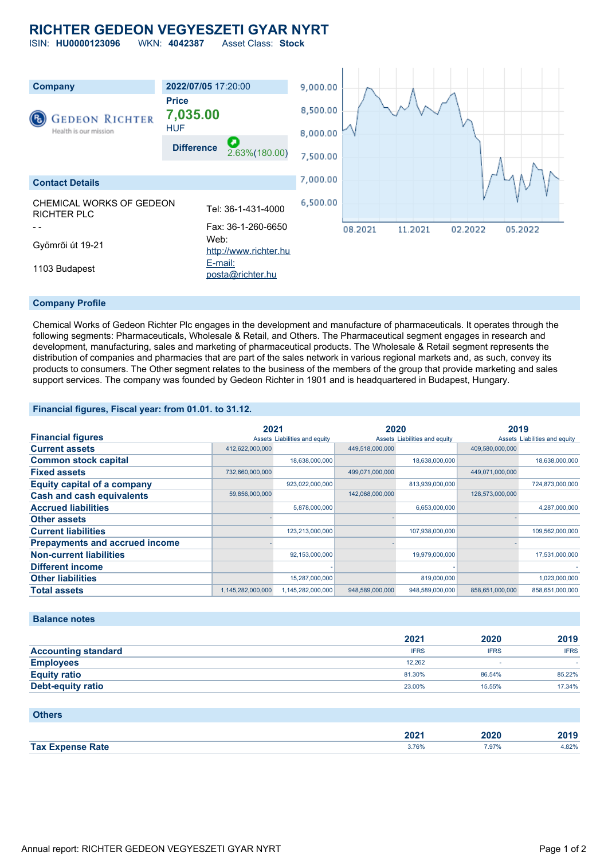# **RICHTER GEDEON VEGYESZETI GYAR NYRT**

ISIN: **HU0000123096** WKN: **4042387** Asset Class: **Stock**



#### **Company Profile**

Chemical Works of Gedeon Richter Plc engages in the development and manufacture of pharmaceuticals. It operates through the following segments: Pharmaceuticals, Wholesale & Retail, and Others. The Pharmaceutical segment engages in research and development, manufacturing, sales and marketing of pharmaceutical products. The Wholesale & Retail segment represents the distribution of companies and pharmacies that are part of the sales network in various regional markets and, as such, convey its products to consumers. The Other segment relates to the business of the members of the group that provide marketing and sales support services. The company was founded by Gedeon Richter in 1901 and is headquartered in Budapest, Hungary.

**Financial figures, Fiscal year: from 01.01. to 31.12.**

|                                       | 2021              |                               | 2020            |                               | 2019            |                               |
|---------------------------------------|-------------------|-------------------------------|-----------------|-------------------------------|-----------------|-------------------------------|
| <b>Financial figures</b>              |                   | Assets Liabilities and equity |                 | Assets Liabilities and equity |                 | Assets Liabilities and equity |
| <b>Current assets</b>                 | 412,622,000,000   |                               | 449,518,000,000 |                               | 409,580,000,000 |                               |
| <b>Common stock capital</b>           |                   | 18,638,000,000                |                 | 18,638,000,000                |                 | 18,638,000,000                |
| <b>Fixed assets</b>                   | 732,660,000,000   |                               | 499,071,000,000 |                               | 449,071,000,000 |                               |
| <b>Equity capital of a company</b>    |                   | 923,022,000,000               |                 | 813,939,000,000               |                 | 724,873,000,000               |
| <b>Cash and cash equivalents</b>      | 59,856,000,000    |                               | 142,068,000,000 |                               | 128,573,000,000 |                               |
| <b>Accrued liabilities</b>            |                   | 5,878,000,000                 |                 | 6,653,000,000                 |                 | 4,287,000,000                 |
| <b>Other assets</b>                   |                   |                               |                 |                               |                 |                               |
| <b>Current liabilities</b>            |                   | 123,213,000,000               |                 | 107,938,000,000               |                 | 109,562,000,000               |
| <b>Prepayments and accrued income</b> |                   |                               |                 |                               |                 |                               |
| <b>Non-current liabilities</b>        |                   | 92,153,000,000                |                 | 19,979,000,000                |                 | 17,531,000,000                |
| <b>Different income</b>               |                   |                               |                 |                               |                 |                               |
| <b>Other liabilities</b>              |                   | 15,287,000,000                |                 | 819,000,000                   |                 | 1,023,000,000                 |
| <b>Total assets</b>                   | 1,145,282,000,000 | 1,145,282,000,000             | 948,589,000,000 | 948,589,000,000               | 858.651.000.000 | 858.651.000.000               |

**Balance notes**

|                            | 2021        | 2020        | 2019        |
|----------------------------|-------------|-------------|-------------|
| <b>Accounting standard</b> | <b>IFRS</b> | <b>IFRS</b> | <b>IFRS</b> |
| <b>Employees</b>           | 12.262      |             |             |
| <b>Equity ratio</b>        | 81.30%      | 86.54%      | 85.22%      |
| Debt-equity ratio          | 23.00%      | 15.55%      | 17.34%      |

### **Others**

|            | LVL          |      |      |
|------------|--------------|------|------|
| <b>Tax</b> | <b>3.76%</b> | 797% | .82% |